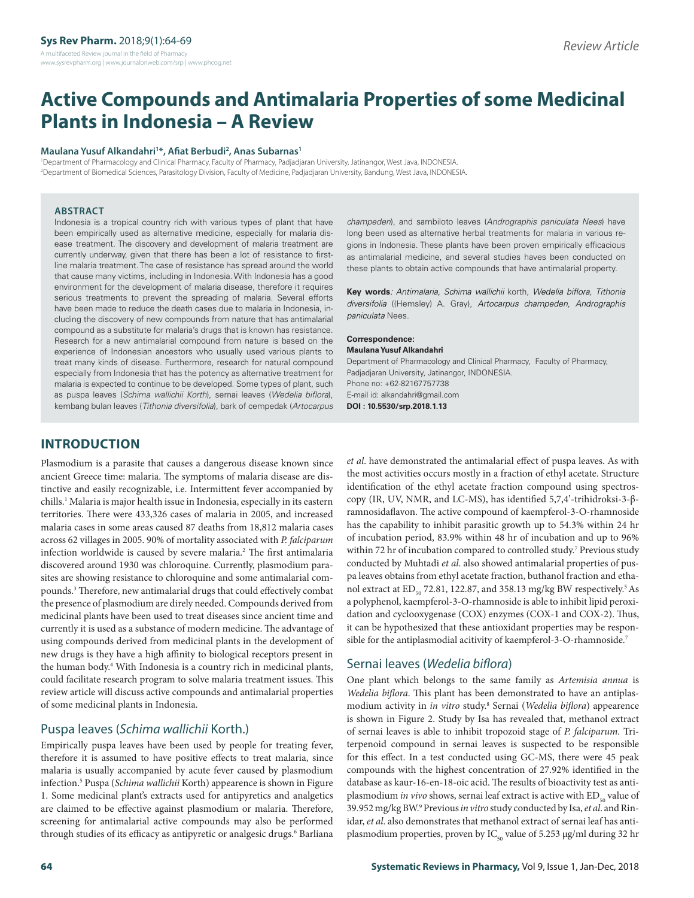# **Active Compounds and Antimalaria Properties of some Medicinal Plants in Indonesia – A Review**

#### **Maulana Yusuf Alkandahri1 \*, Afiat Berbudi2 , Anas Subarnas1**

1 Department of Pharmacology and Clinical Pharmacy, Faculty of Pharmacy, Padjadjaran University, Jatinangor, West Java, INDONESIA. 2 Department of Biomedical Sciences, Parasitology Division, Faculty of Medicine, Padjadjaran University, Bandung, West Java, INDONESIA.

#### **ABSTRACT**

Indonesia is a tropical country rich with various types of plant that have been empirically used as alternative medicine, especially for malaria disease treatment. The discovery and development of malaria treatment are currently underway, given that there has been a lot of resistance to firstline malaria treatment. The case of resistance has spread around the world that cause many victims, including in Indonesia. With Indonesia has a good environment for the development of malaria disease, therefore it requires serious treatments to prevent the spreading of malaria. Several efforts have been made to reduce the death cases due to malaria in Indonesia, including the discovery of new compounds from nature that has antimalarial compound as a substitute for malaria's drugs that is known has resistance. Research for a new antimalarial compound from nature is based on the experience of Indonesian ancestors who usually used various plants to treat many kinds of disease. Furthermore, research for natural compound especially from Indonesia that has the potency as alternative treatment for malaria is expected to continue to be developed. Some types of plant, such as puspa leaves (*Schima wallichii Korth*), sernai leaves (*Wedelia biflora*), kembang bulan leaves (*Tithonia diversifolia*), bark of cempedak (*Artocarpus*  *champeden*), and sambiloto leaves (*Andrographis paniculata Nees*) have long been used as alternative herbal treatments for malaria in various regions in Indonesia. These plants have been proven empirically efficacious as antimalarial medicine, and several studies haves been conducted on these plants to obtain active compounds that have antimalarial property.

**Key words***: Antimalaria, Schima wallichii* korth, *Wedelia biflora*, *Tithonia diversifolia* ((Hemsley) A. Gray), *Artocarpus champeden*, *Andrographis paniculata* Nees.

#### **Correspondence:**

**Maulana Yusuf Alkandahri**

Department of Pharmacology and Clinical Pharmacy, Faculty of Pharmacy, Padjadjaran University, Jatinangor, INDONESIA. Phone no: +62-82167757738 E-mail id: alkandahri@gmail.com **DOI : 10.5530/srp.2018.1.13**

# **INTRODUCTION**

Plasmodium is a parasite that causes a dangerous disease known since ancient Greece time: malaria. The symptoms of malaria disease are distinctive and easily recognizable, i.e. Intermittent fever accompanied by chills.1 Malaria is major health issue in Indonesia, especially in its eastern territories. There were 433,326 cases of malaria in 2005, and increased malaria cases in some areas caused 87 deaths from 18,812 malaria cases across 62 villages in 2005. 90% of mortality associated with *P. falciparum* infection worldwide is caused by severe malaria.<sup>2</sup> The first antimalaria discovered around 1930 was chloroquine. Currently, plasmodium parasites are showing resistance to chloroquine and some antimalarial compounds.3 Therefore, new antimalarial drugs that could effectively combat the presence of plasmodium are direly needed. Compounds derived from medicinal plants have been used to treat diseases since ancient time and currently it is used as a substance of modern medicine. The advantage of using compounds derived from medicinal plants in the development of new drugs is they have a high affinity to biological receptors present in the human body.4 With Indonesia is a country rich in medicinal plants, could facilitate research program to solve malaria treatment issues. This review article will discuss active compounds and antimalarial properties of some medicinal plants in Indonesia.

# Puspa leaves (*Schima wallichii* Korth.)

Empirically puspa leaves have been used by people for treating fever, therefore it is assumed to have positive effects to treat malaria, since malaria is usually accompanied by acute fever caused by plasmodium infection.5 Puspa (*Schima wallichii* Korth) appearence is shown in Figure 1. Some medicinal plant's extracts used for antipyretics and analgetics are claimed to be effective against plasmodium or malaria. Therefore, screening for antimalarial active compounds may also be performed through studies of its efficacy as antipyretic or analgesic drugs.<sup>6</sup> Barliana *et al*. have demonstrated the antimalarial effect of puspa leaves. As with the most activities occurs mostly in a fraction of ethyl acetate. Structure identification of the ethyl acetate fraction compound using spectroscopy (IR, UV, NMR, and LC-MS), has identified 5,7,4'-trihidroksi-3-βramnosidaflavon. The active compound of kaempferol-3-O-rhamnoside has the capability to inhibit parasitic growth up to 54.3% within 24 hr of incubation period, 83.9% within 48 hr of incubation and up to 96% within 72 hr of incubation compared to controlled study.<sup>7</sup> Previous study conducted by Muhtadi *et al*. also showed antimalarial properties of puspa leaves obtains from ethyl acetate fraction, buthanol fraction and ethanol extract at  $ED_{50}$  72.81, 122.87, and 358.13 mg/kg BW respectively.<sup>5</sup> As a polyphenol, kaempferol-3-O-rhamnoside is able to inhibit lipid peroxidation and cyclooxygenase (COX) enzymes (COX-1 and COX-2). Thus, it can be hypothesized that these antioxidant properties may be responsible for the antiplasmodial acitivity of kaempferol-3-O-rhamnoside.<sup>7</sup>

#### Sernai leaves (*Wedelia biflora*)

One plant which belongs to the same family as *Artemisia annua* is *Wedelia biflora*. This plant has been demonstrated to have an antiplasmodium activity in *in vitro* study.8 Sernai (*Wedelia biflora*) appearence is shown in Figure 2. Study by Isa has revealed that, methanol extract of sernai leaves is able to inhibit tropozoid stage of *P. falciparum*. Triterpenoid compound in sernai leaves is suspected to be responsible for this effect. In a test conducted using GC-MS, there were 45 peak compounds with the highest concentration of 27.92% identified in the database as kaur-16-en-18-oic acid. The results of bioactivity test as antiplasmodium *in vivo* shows, sernai leaf extract is active with ED<sub>50</sub> value of 39.952 mg/kg BW.9 Previous *in vitro* study conducted by Isa, *et al*. and Rinidar, *et al*. also demonstrates that methanol extract of sernai leaf has antiplasmodium properties, proven by IC<sub>50</sub> value of 5.253 μg/ml during 32 hr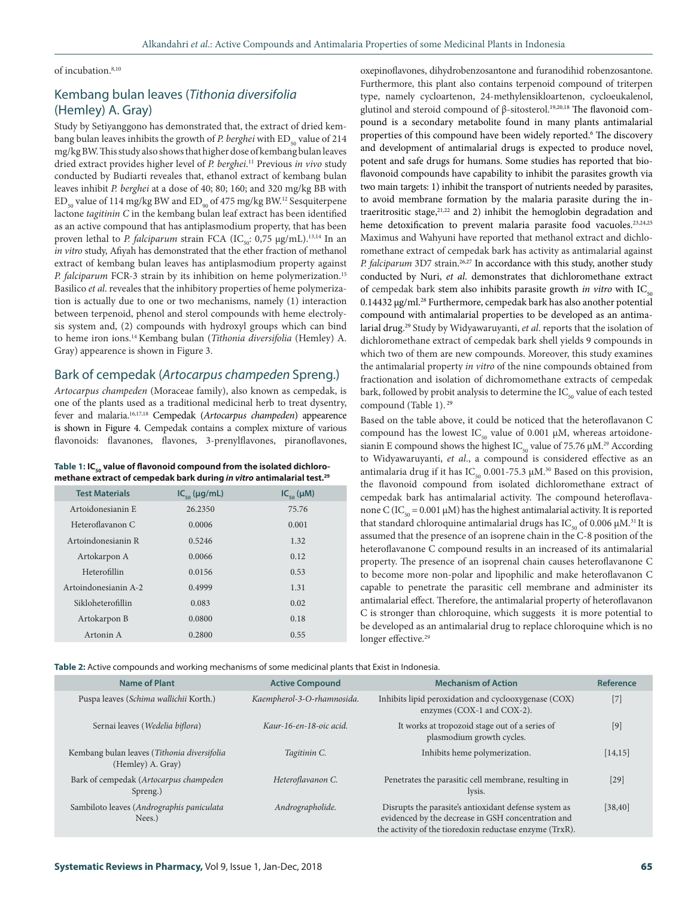#### of incubation.<sup>8,10</sup>

# Kembang bulan leaves (*Tithonia diversifolia*  (Hemley) A. Gray)

Study by Setiyanggono has demonstrated that, the extract of dried kembang bulan leaves inhibits the growth of *P. berghei* with ED<sub>50</sub> value of 214 mg/kg BW. This study also shows that higher dose of kembang bulan leaves dried extract provides higher level of *P. berghei*. 11 Previous *in vivo* study conducted by Budiarti reveales that, ethanol extract of kembang bulan leaves inhibit *P. berghei* at a dose of 40; 80; 160; and 320 mg/kg BB with  $ED_{\text{eq}}$  value of 114 mg/kg BW and  $ED_{\text{eq}}$  of 475 mg/kg BW.<sup>12</sup> Sesquiterpene lactone *tagitinin C* in the kembang bulan leaf extract has been identified as an active compound that has antiplasmodium property, that has been proven lethal to *P. falciparum* strain FCA (IC<sub>50</sub>: 0,75 µg/mL).<sup>13,14</sup> In an *in vitro* study, Afiyah has demonstrated that the ether fraction of methanol extract of kembang bulan leaves has antiplasmodium property against *P. falciparum* FCR-3 strain by its inhibition on heme polymerization.15 Basilico *et al*. reveales that the inhibitory properties of heme polymerization is actually due to one or two mechanisms, namely (1) interaction between terpenoid, phenol and sterol compounds with heme electrolysis system and, (2) compounds with hydroxyl groups which can bind to heme iron ions.14 Kembang bulan (*Tithonia diversifolia* (Hemley) A. Gray) appearence is shown in Figure 3.

#### Bark of cempedak (*Artocarpus champeden* Spreng.)

*Artocarpus champeden* (Moraceae family), also known as cempedak, is one of the plants used as a traditional medicinal herb to treat dysentry, fever and malaria.16,17,18 Cempedak (*Artocarpus champeden*) appearence is shown in Figure 4. Cempedak contains a complex mixture of various flavonoids: flavanones, flavones, 3-prenylflavones, piranoflavones,

| Table 1: IC <sub>50</sub> value of flavonoid compound from the isolated dichloro- |
|-----------------------------------------------------------------------------------|
| methane extract of cempedak bark during in vitro antimalarial test. <sup>29</sup> |

| <b>Test Materials</b> | $IC_{\scriptscriptstyle{en}}(\mu g/mL)$ | $IC_{\epsilon_0}(\mu M)$ |
|-----------------------|-----------------------------------------|--------------------------|
| Artoidonesianin E     | 26.2350                                 | 75.76                    |
| Heteroflavanon C      | 0.0006                                  | 0.001                    |
| Artoindonesianin R    | 0.5246                                  | 1.32                     |
| Artokarpon A          | 0.0066                                  | 0.12                     |
| Heterofillin          | 0.0156                                  | 0.53                     |
| Artoindonesianin A-2  | 0.4999                                  | 1.31                     |
| Sikloheterofillin     | 0.083                                   | 0.02                     |
| Artokarpon B          | 0.0800                                  | 0.18                     |
| Artonin A             | 0.2800                                  | 0.55                     |

oxepinoflavones, dihydrobenzosantone and furanodihid robenzosantone. Furthermore, this plant also contains terpenoid compound of triterpen type, namely cycloartenon, 24-methylensikloartenon, cycloeukalenol, glutinol and steroid compound of β-sitosterol.<sup>19,20,18</sup> The flavonoid compound is a secondary metabolite found in many plants antimalarial properties of this compound have been widely reported.6 The discovery and development of antimalarial drugs is expected to produce novel, potent and safe drugs for humans. Some studies has reported that bioflavonoid compounds have capability to inhibit the parasites growth via two main targets: 1) inhibit the transport of nutrients needed by parasites, to avoid membrane formation by the malaria parasite during the intraeritrositic stage, $2^{1,22}$  and 2) inhibit the hemoglobin degradation and heme detoxification to prevent malaria parasite food vacuoles.<sup>23,24,25</sup> Maximus and Wahyuni have reported that methanol extract and dichloromethane extract of cempedak bark has activity as antimalarial against *P. falciparum* 3D7 strain. 26,27 In accordance with this study, another study conducted by Nuri, *et al*. demonstrates that dichloromethane extract of cempedak bark stem also inhibits parasite growth *in vitro* with  $IC_{\epsilon_0}$ 0.14432 μg/ml. 28 Furthermore, cempedak bark has also another potential compound with antimalarial properties to be developed as an antimalarial drug.29 Study by Widyawaruyanti, *et al*. reports that the isolation of dichloromethane extract of cempedak bark shell yields 9 compounds in which two of them are new compounds. Moreover, this study examines the antimalarial property *in vitro* of the nine compounds obtained from fractionation and isolation of dichromomethane extracts of cempedak bark, followed by probit analysis to determine the  $IC_{50}$  value of each tested compound (Table 1).<sup>29</sup>

Based on the table above, it could be noticed that the heteroflavanon C compound has the lowest IC<sub>50</sub> value of 0.001  $\mu$ M, whereas artoidonesianin E compound shows the highest  $IC_{50}$  value of 75.76  $\mu$ M.<sup>29</sup> According to Widyawaruyanti, *et al*., a compound is considered effective as an antimalaria drug if it has IC<sub>50</sub> 0.001-75.3  $\mu$ M.<sup>30</sup> Based on this provision, the flavonoid compound from isolated dichloromethane extract of cempedak bark has antimalarial activity. The compound heteroflavanone C (IC<sub>50</sub> = 0.001 μM) has the highest antimalarial activity. It is reported that standard chloroquine antimalarial drugs has IC<sub>εο</sub> of 0.006 μM.<sup>31</sup> It is assumed that the presence of an isoprene chain in the C-8 position of the heteroflavanone C compound results in an increased of its antimalarial property. The presence of an isoprenal chain causes heteroflavanone C to become more non-polar and lipophilic and make heteroflavanon C capable to penetrate the parasitic cell membrane and administer its antimalarial effect. Therefore, the antimalarial property of heteroflavanon C is stronger than chloroquine, which suggests it is more potential to be developed as an antimalarial drug to replace chloroquine which is no longer effective.<sup>29</sup>

**Table 2:** Active compounds and working mechanisms of some medicinal plants that Exist in Indonesia.

| <b>Name of Plant</b>                                             | <b>Active Compound</b>     | <b>Mechanism of Action</b>                                                                                                                                             | Reference         |
|------------------------------------------------------------------|----------------------------|------------------------------------------------------------------------------------------------------------------------------------------------------------------------|-------------------|
| Puspa leaves (Schima wallichii Korth.)                           | Kaempherol-3-O-rhamnosida. | Inhibits lipid peroxidation and cyclooxygenase (COX)<br>enzymes (COX-1 and COX-2).                                                                                     |                   |
| Sernai leaves (Wedelia biflora)                                  | Kaur-16-en-18-oic acid.    | It works at tropozoid stage out of a series of<br>plasmodium growth cycles.                                                                                            | $[9]$             |
| Kembang bulan leaves (Tithonia diversifolia<br>(Hemley) A. Gray) | Tagitinin C.               | Inhibits heme polymerization.                                                                                                                                          | [14, 15]          |
| Bark of cempedak (Artocarpus champeden<br>Spreng.)               | Heteroflavanon C.          | Penetrates the parasitic cell membrane, resulting in<br>lysis.                                                                                                         | $\left[29\right]$ |
| Sambiloto leaves (Andrographis paniculata<br>Nees.               | Andrographolide.           | Disrupts the parasite's antioxidant defense system as<br>evidenced by the decrease in GSH concentration and<br>the activity of the tioredoxin reductase enzyme (TrxR). | [38, 40]          |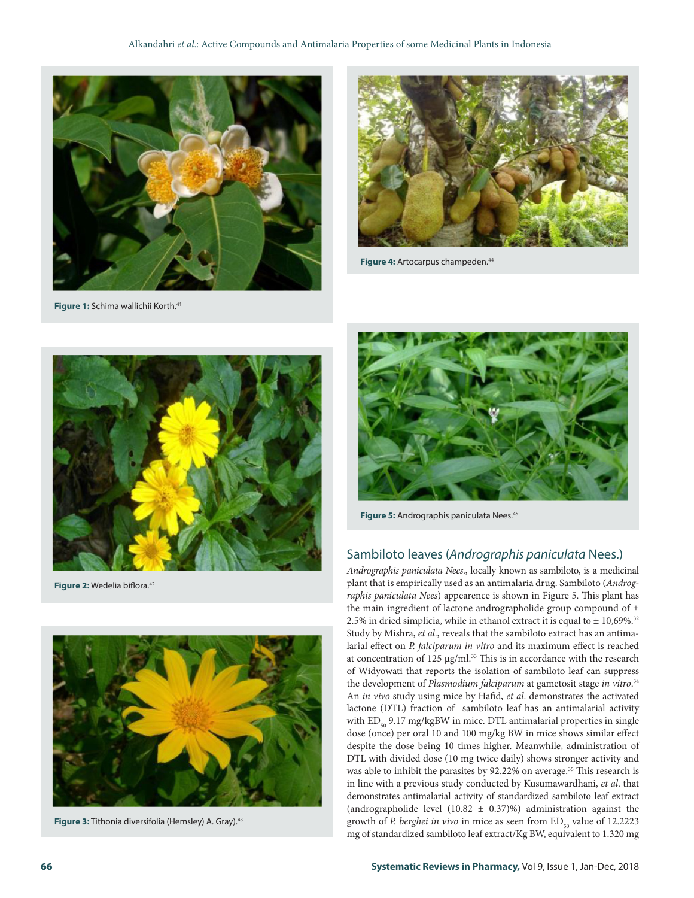

**Figure 1:** Schima wallichii Korth.<sup>41</sup>



Figure 4: Artocarpus champeden.<sup>44</sup>



**Figure 2: Wedelia biflora.**<sup>42</sup>



**Figure 3:** Tithonia diversifolia (Hemsley) A. Gray).43



**Figure 5:** Andrographis paniculata Nees.<sup>45</sup>

# Sambiloto leaves (*Andrographis paniculata* Nees.)

*Andrographis paniculata Nees*., locally known as sambiloto, is a medicinal plant that is empirically used as an antimalaria drug. Sambiloto (*Andrographis paniculata Nees*) appearence is shown in Figure 5. This plant has the main ingredient of lactone andrographolide group compound of  $\pm$ 2.5% in dried simplicia, while in ethanol extract it is equal to  $\pm$  10,69%. $^{32}$ Study by Mishra, *et al*., reveals that the sambiloto extract has an antimalarial effect on *P. falciparum in vitro* and its maximum effect is reached at concentration of 125 μg/ml.<sup>33</sup> This is in accordance with the research of Widyowati that reports the isolation of sambiloto leaf can suppress the development of *Plasmodium falciparum* at gametosit stage *in vitro*. 34 An *in vivo* study using mice by Hafid, *et al*. demonstrates the activated lactone (DTL) fraction of sambiloto leaf has an antimalarial activity with  $ED_{50}$  9.17 mg/kgBW in mice. DTL antimalarial properties in single dose (once) per oral 10 and 100 mg/kg BW in mice shows similar effect despite the dose being 10 times higher. Meanwhile, administration of DTL with divided dose (10 mg twice daily) shows stronger activity and was able to inhibit the parasites by 92.22% on average.<sup>35</sup> This research is in line with a previous study conducted by Kusumawardhani, *et al*. that demonstrates antimalarial activity of standardized sambiloto leaf extract (andrographolide level (10.82 ± 0.37)%) administration against the growth of *P. berghei in vivo* in mice as seen from ED<sub>50</sub> value of 12.2223 mg of standardized sambiloto leaf extract/Kg BW, equivalent to 1.320 mg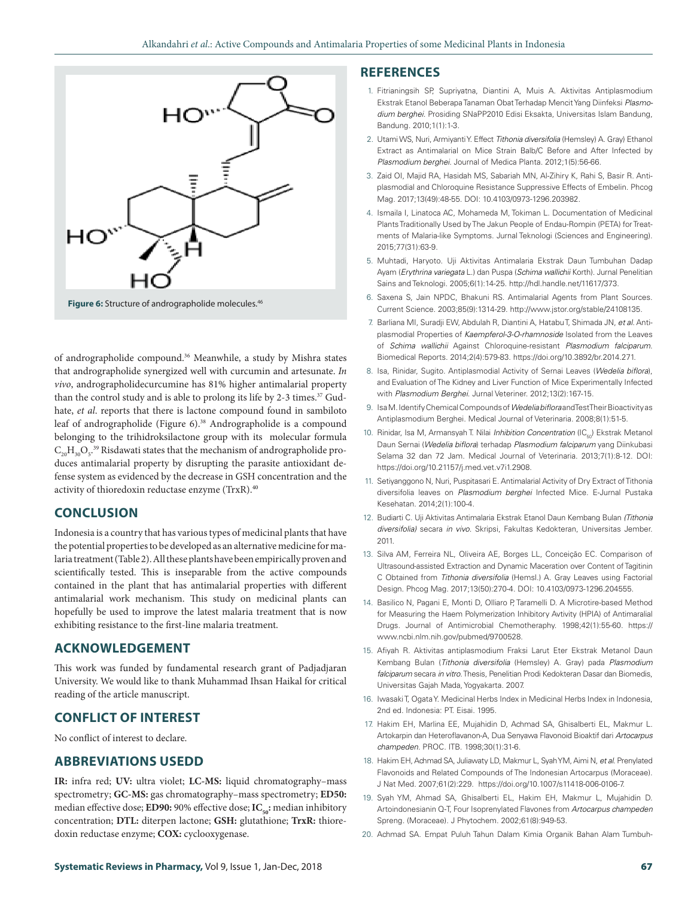

**Figure 6:** Structure of andrographolide molecules.46

of andrographolide compound.36 Meanwhile, a study by Mishra states that andrographolide synergized well with curcumin and artesunate. *In vivo*, andrographolidecurcumine has 81% higher antimalarial property than the control study and is able to prolong its life by 2-3 times.<sup>37</sup> Gudhate, *et al*. reports that there is lactone compound found in sambiloto leaf of andrographolide (Figure 6).<sup>38</sup> Andrographolide is a compound belonging to the trihidroksilactone group with its molecular formula  $\rm C_{20}H_{30}O_{5}.$ <sup>39</sup> Risdawati states that the mechanism of andrographolide produces antimalarial property by disrupting the parasite antioxidant defense system as evidenced by the decrease in GSH concentration and the activity of thioredoxin reductase enzyme (TrxR).<sup>40</sup>

#### **CONCLUSION**

Indonesia is a country that has various types of medicinal plants that have the potential properties to be developed as an alternative medicine for malaria treatment (Table 2). All these plants have been empirically proven and scientifically tested. This is inseparable from the active compounds contained in the plant that has antimalarial properties with different antimalarial work mechanism. This study on medicinal plants can hopefully be used to improve the latest malaria treatment that is now exhibiting resistance to the first-line malaria treatment.

#### **ACKNOWLEDGEMENT**

This work was funded by fundamental research grant of Padjadjaran University. We would like to thank Muhammad Ihsan Haikal for critical reading of the article manuscript.

## **CONFLICT OF INTEREST**

No conflict of interest to declare.

#### **ABBREVIATIONS USEDD**

**IR:** infra red; **UV:** ultra violet; **LC-MS:** liquid chromatography–mass spectrometry; **GC-MS:** gas chromatography–mass spectrometry; **ED50:**  median effective dose; **ED90:** 90% effective dose; **IC**<sub>50</sub>: median inhibitory concentration; **DTL:** diterpen lactone; **GSH:** glutathione; **TrxR:** thioredoxin reductase enzyme; **COX:** cyclooxygenase.

#### **REFERENCES**

- 1. Fitrianingsih SP, Supriyatna, Diantini A, Muis A. Aktivitas Antiplasmodium Ekstrak Etanol Beberapa Tanaman Obat Terhadap Mencit Yang Diinfeksi *Plasmodium berghei*. Prosiding SNaPP2010 Edisi Eksakta, Universitas Islam Bandung, Bandung. 2010;1(1):1-3.
- 2. Utami WS, Nuri, Armiyanti Y. Effect *Tithonia diversifolia* (Hemsley) A. Gray) Ethanol Extract as Antimalarial on Mice Strain Balb/C Before and After Infected by *Plasmodium berghei*. Journal of Medica Planta. 2012;1(5):56-66.
- 3. Zaid OI, Majid RA, Hasidah MS, Sabariah MN, Al-Zihiry K, Rahi S, Basir R. Antiplasmodial and Chloroquine Resistance Suppressive Effects of Embelin. Phcog Mag. 2017;13(49):48-55. DOI: 10.4103/0973-1296.203982.
- 4. Ismaila I, Linatoca AC, Mohameda M, Tokiman L. Documentation of Medicinal Plants Traditionally Used by The Jakun People of Endau-Rompin (PETA) for Treatments of Malaria-like Symptoms. Jurnal Teknologi (Sciences and Engineering). 2015;77(31):63-9.
- 5. Muhtadi, Haryoto. Uji Aktivitas Antimalaria Ekstrak Daun Tumbuhan Dadap Ayam (*Erythrina variegata* L.) dan Puspa (*Schima wallichii* Korth). Jurnal Penelitian Sains and Teknologi. 2005;6(1):14-25. http://hdl.handle.net/11617/373.
- 6. Saxena S, Jain NPDC, Bhakuni RS. Antimalarial Agents from Plant Sources. Current Science. 2003;85(9):1314-29. http://www.jstor.org/stable/24108135.
- 7. Barliana MI, Suradji EW, Abdulah R, Diantini A, Hatabu T, Shimada JN, *et al*. Antiplasmodial Properties of *Kaempferol-3-O-rhamnoside* Isolated from the Leaves of *Schima wallichii* Against Chloroquine-resistant *Plasmodium falciparum*. Biomedical Reports. 2014;2(4):579-83. https://doi.org/10.3892/br.2014.271.
- 8. Isa, Rinidar, Sugito. Antiplasmodial Activity of Sernai Leaves (*Wedelia biflora*), and Evaluation of The Kidney and Liver Function of Mice Experimentally Infected with *Plasmodium Berghei*. Jurnal Veteriner. 2012;13(2):167-15.
- 9. Isa M. Identify Chemical Compounds of *Wedelia biflora* and Test Their Bioactivity as Antiplasmodium Berghei. Medical Journal of Veterinaria. 2008;8(1):51-5.
- 10. Rinidar, Isa M, Armansyah T. Nilai *Inhibition Concentration* (IC<sub>50</sub>) Ekstrak Metanol Daun Sernai (*Wedelia biflora*) terhadap *Plasmodium falciparum* yang Diinkubasi Selama 32 dan 72 Jam. Medical Journal of Veterinaria. 2013;7(1):8-12. DOI: https://doi.org/10.21157/j.med.vet.v7i1.2908.
- 11. Setiyanggono N, Nuri, Puspitasari E. Antimalarial Activity of Dry Extract of Tithonia diversifolia leaves on *Plasmodium berghei* Infected Mice. E-Jurnal Pustaka Kesehatan. 2014;2(1):100-4.
- 12. Budiarti C. Uji Aktivitas Antimalaria Ekstrak Etanol Daun Kembang Bulan *(Tithonia diversifolia)* secara *in vivo*. Skripsi, Fakultas Kedokteran, Universitas Jember. 2011.
- 13. Silva AM, Ferreira NL, Oliveira AE, Borges LL, Conceição EC. Comparison of Ultrasound-assisted Extraction and Dynamic Maceration over Content of Tagitinin C Obtained from *Tithonia diversifolia* (Hemsl.) A. Gray Leaves using Factorial Design. Phcog Mag. 2017;13(50):270-4. DOI: 10.4103/0973-1296.204555.
- 14. Basilico N, Pagani E, Monti D, Olliaro P, Taramelli D. A Microtire-based Method for Measuring the Haem Polymerization Inhibitory Avtivity (HPIA) of Antimaralial Drugs. Journal of Antimicrobial Chemotheraphy. 1998;42(1):55-60. https:// www.ncbi.nlm.nih.gov/pubmed/9700528.
- 15. Afiyah R. Aktivitas antiplasmodium Fraksi Larut Eter Ekstrak Metanol Daun Kembang Bulan (*Tithonia diversifolia* (Hemsley) A. Gray) pada *Plasmodium falciparum* secara *in vitro*. Thesis, Penelitian Prodi Kedokteran Dasar dan Biomedis, Universitas Gajah Mada, Yogyakarta. 2007.
- 16. Iwasaki T, Ogata Y. Medicinal Herbs Index in Medicinal Herbs Index in Indonesia, 2nd ed. Indonesia: PT. Eisai. 1995.
- 17. Hakim EH, Marlina EE, Mujahidin D, Achmad SA, Ghisalberti EL, Makmur L. Artokarpin dan Heteroflavanon-A, Dua Senyawa Flavonoid Bioaktif dari *Artocarpus champeden*. PROC. ITB. 1998;30(1):31-6.
- 18. Hakim EH, Achmad SA, Juliawaty LD, Makmur L, Syah YM, Aimi N, *et al*. Prenylated Flavonoids and Related Compounds of The Indonesian Artocarpus (Moraceae). J Nat Med. 2007;61(2):229. https://doi.org/10.1007/s11418-006-0106-7.
- 19. Syah YM, Ahmad SA, Ghisalberti EL, Hakim EH, Makmur L, Mujahidin D. Artoindonesianin Q-T, Four Isoprenylated Flavones from *Artocarpus champeden* Spreng. (Moraceae). J Phytochem. 2002;61(8):949-53.
- 20. Achmad SA. Empat Puluh Tahun Dalam Kimia Organik Bahan Alam Tumbuh-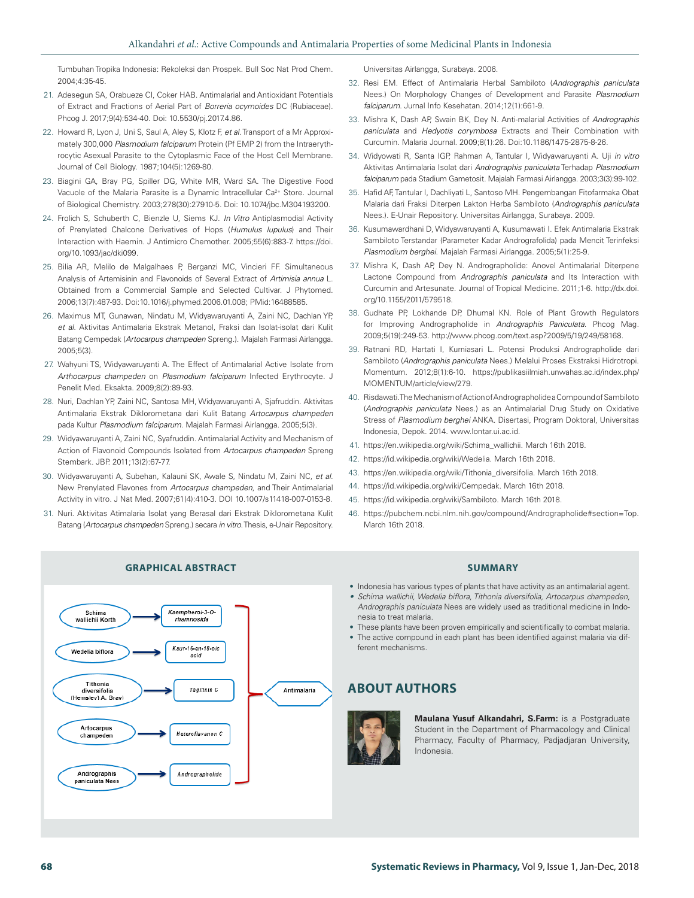Tumbuhan Tropika Indonesia: Rekoleksi dan Prospek. Bull Soc Nat Prod Chem. 2004;4:35-45.

- 21. Adesegun SA, Orabueze CI, Coker HAB. Antimalarial and Antioxidant Potentials of Extract and Fractions of Aerial Part of *Borreria ocymoides* DC (Rubiaceae). Phcog J. 2017;9(4):534-40. Doi: 10.5530/pj.2017.4.86.
- 22. Howard R, Lyon J, Uni S, Saul A, Aley S, Klotz F, *et al*. Transport of a Mr Approximately 300,000 *Plasmodium falciparum* Protein (Pf EMP 2) from the Intraerythrocytic Asexual Parasite to the Cytoplasmic Face of the Host Cell Membrane. Journal of Cell Biology. 1987;104(5):1269-80.
- 23. Biagini GA, Bray PG, Spiller DG, White MR, Ward SA. The Digestive Food Vacuole of the Malaria Parasite is a Dynamic Intracellular Ca<sup>2+</sup> Store. Journal of Biological Chemistry. 2003;278(30):27910-5. Doi: 10.1074/jbc.M304193200.
- 24. Frolich S, Schuberth C, Bienzle U, Siems KJ. *In Vitro* Antiplasmodial Activity of Prenylated Chalcone Derivatives of Hops (*Humulus lupulus*) and Their Interaction with Haemin. J Antimicro Chemother. 2005;55(6):883-7. https://doi. org/10.1093/jac/dki099.
- 25. Bilia AR, Melilo de Malgalhaes P, Berganzi MC, Vincieri FF. Simultaneous Analysis of Artemisinin and Flavonoids of Several Extract of *Artimisia annua* L. Obtained from a Commercial Sample and Selected Cultivar. J Phytomed. 2006;13(7):487-93. Doi:10.1016/j.phymed.2006.01.008; PMid:16488585.
- 26. Maximus MT, Gunawan, Nindatu M, Widyawaruyanti A, Zaini NC, Dachlan YP, *et al*. Aktivitas Antimalaria Ekstrak Metanol, Fraksi dan Isolat-isolat dari Kulit Batang Cempedak (*Artocarpus champeden* Spreng.). Majalah Farmasi Airlangga. 2005;5(3).
- 27. Wahyuni TS, Widyawaruyanti A. The Effect of Antimalarial Active Isolate from *Arthocarpus champeden* on *Plasmodium falciparum* Infected Erythrocyte. J Penelit Med. Eksakta. 2009;8(2):89-93.
- 28. Nuri, Dachlan YP, Zaini NC, Santosa MH, Widyawaruyanti A, Sjafruddin. Aktivitas Antimalaria Ekstrak Diklorometana dari Kulit Batang *Artocarpus champeden* pada Kultur *Plasmodium falciparum*. Majalah Farmasi Airlangga. 2005;5(3).
- 29. Widyawaruyanti A, Zaini NC, Syafruddin. Antimalarial Activity and Mechanism of Action of Flavonoid Compounds Isolated from *Artocarpus champeden* Spreng Stembark. JBP. 2011;13(2):67-77.
- 30. Widyawaruyanti A, Subehan, Kalauni SK, Awale S, Nindatu M, Zaini NC, *et al*. New Prenylated Flavones from *Artocarpus champeden*, and Their Antimalarial Activity in vitro. J Nat Med. 2007;61(4):410-3. DOI 10.1007/s11418-007-0153-8.
- 31. Nuri. Aktivitas Atimalaria Isolat yang Berasal dari Ekstrak Diklorometana Kulit Batang (*Artocarpus champeden* Spreng.) secara *in vitro*. Thesis, e-Unair Repository.

Kaempherol-3-O

rhamnosida

Kaur-16-en-18-oic

acio

Tagitinin C

Heteroflavanon C

Andrographolide

Universitas Airlangga, Surabaya. 2006.

- 32. Resi EM. Effect of Antimalaria Herbal Sambiloto (*Andrographis paniculata* Nees.) On Morphology Changes of Development and Parasite *Plasmodium falciparum*. Jurnal Info Kesehatan. 2014;12(1):661-9.
- 33. Mishra K, Dash AP, Swain BK, Dey N. Anti-malarial Activities of *Andrographis paniculata* and *Hedyotis corymbosa* Extracts and Their Combination with Curcumin. Malaria Journal. 2009;8(1):26. Doi:10.1186/1475-2875-8-26.
- 34. Widyowati R, Santa IGP, Rahman A, Tantular I, Widyawaruyanti A. Uji *in vitro* Aktivitas Antimalaria Isolat dari *Andrographis paniculata* Terhadap *Plasmodium falciparum* pada Stadium Gametosit. Majalah Farmasi Airlangga. 2003;3(3):99-102.
- 35. Hafid AF, Tantular I, Dachliyati L, Santoso MH. Pengembangan Fitofarmaka Obat Malaria dari Fraksi Diterpen Lakton Herba Sambiloto (*Andrographis paniculata* Nees.). E-Unair Repository. Universitas Airlangga, Surabaya. 2009.
- 36. Kusumawardhani D, Widyawaruyanti A, Kusumawati I. Efek Antimalaria Ekstrak Sambiloto Terstandar (Parameter Kadar Andrografolida) pada Mencit Terinfeksi *Plasmodium berghei*. Majalah Farmasi Airlangga. 2005;5(1):25-9.
- 37. Mishra K, Dash AP, Dey N. Andrographolide: Anovel Antimalarial Diterpene Lactone Compound from *Andrographis paniculata* and Its Interaction with Curcumin and Artesunate. Journal of Tropical Medicine. 2011;1-6. http://dx.doi. org/10.1155/2011/579518.
- 38. Gudhate PP, Lokhande DP, Dhumal KN. Role of Plant Growth Regulators for Improving Andrographolide in *Andrographis Paniculata*. Phcog Mag. 2009;5(19):249-53. http://www.phcog.com/text.asp?2009/5/19/249/58168.
- 39. Ratnani RD, Hartati I, Kurniasari L. Potensi Produksi Andrographolide dari Sambiloto (*Andrographis paniculata* Nees.) Melalui Proses Ekstraksi Hidrotropi. Momentum. 2012;8(1):6-10. https://publikasiilmiah.unwahas.ac.id/index.php/ MOMENTUM/article/view/279.
- 40. Risdawati. The Mechanism of Action of Andrographolide a Compound of Sambiloto (*Andrographis paniculata* Nees.) as an Antimalarial Drug Study on Oxidative Stress of *Plasmodium berghei* ANKA. Disertasi, Program Doktoral, Universitas Indonesia, Depok. 2014. www.lontar.ui.ac.id.
- 41. https://en.wikipedia.org/wiki/Schima\_wallichii. March 16th 2018.
- 42. https://id.wikipedia.org/wiki/Wedelia. March 16th 2018.
- 43. https://en.wikipedia.org/wiki/Tithonia\_diversifolia. March 16th 2018.
- 44. https://id.wikipedia.org/wiki/Cempedak. March 16th 2018.
- 45. https://id.wikipedia.org/wiki/Sambiloto. March 16th 2018.
- 46. https://pubchem.ncbi.nlm.nih.gov/compound/Andrographolide#section=Top. March 16th 2018.

- Indonesia has various types of plants that have activity as an antimalarial agent.
- *• Schima wallichii, Wedelia biflora, Tithonia diversifolia, Artocarpus champeden, Andrographis paniculata* Nees are widely used as traditional medicine in Indonesia to treat malaria.
- These plants have been proven empirically and scientifically to combat malaria.
- The active compound in each plant has been identified against malaria via different mechanisms.

# **ABOUT AUTHORS**



Antimalaria

**Maulana Yusuf Alkandahri, S.Farm:** is a Postgraduate Student in the Department of Pharmacology and Clinical Pharmacy, Faculty of Pharmacy, Padjadjaran University, Indonesia.

#### **GRAPHICAL ABSTRACT SUMMARY**

Schima

wallichii Korth

Wedelia biflora

Tithonia diversifolia<br>(Hemslev) A. Grav

Artocarpus

champeden

Andrographis paniculata Nees